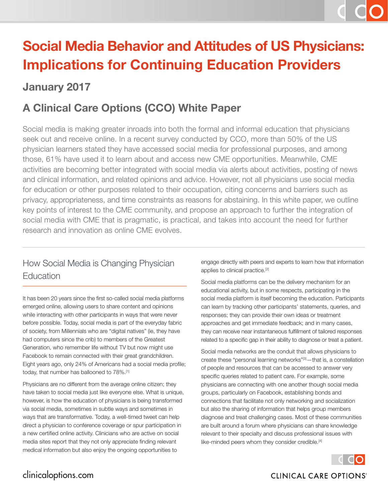# **Social Media Behavior and Attitudes of US Physicians: Implications for Continuing Education Providers**

### **January 2017**

## **A Clinical Care Options (CCO) White Paper**

Social media is making greater inroads into both the formal and informal education that physicians seek out and receive online. In a recent survey conducted by CCO, more than 50% of the US physician learners stated they have accessed social media for professional purposes, and among those, 61% have used it to learn about and access new CME opportunities. Meanwhile, CME activities are becoming better integrated with social media via alerts about activities, posting of news and clinical information, and related opinions and advice. However, not all physicians use social media for education or other purposes related to their occupation, citing concerns and barriers such as privacy, appropriateness, and time constraints as reasons for abstaining. In this white paper, we outline key points of interest to the CME community, and propose an approach to further the integration of social media with CME that is pragmatic, is practical, and takes into account the need for further research and innovation as online CME evolves.

### How Social Media is Changing Physician **Education**

It has been 20 years since the first so-called social media platforms emerged online, allowing users to share content and opinions while interacting with other participants in ways that were never before possible. Today, social media is part of the everyday fabric of society, from Millennials who are "digital natives" (ie, they have had computers since the crib) to members of the Greatest Generation, who remember life without TV but now might use Facebook to remain connected with their great grandchildren. Eight years ago, only 24% of Americans had a social media profile; today, that number has ballooned to 78%.[1]

Physicians are no different from the average online citizen; they have taken to social media just like everyone else. What is unique, however, is how the education of physicians is being transformed via social media, sometimes in subtle ways and sometimes in ways that are transformative. Today, a well-timed tweet can help direct a physician to conference coverage or spur participation in a new certified online activity. Clinicians who are active on social media sites report that they not only appreciate finding relevant medical information but also enjoy the ongoing opportunities to

engage directly with peers and experts to learn how that information applies to clinical practice.[2]

Social media platforms can be the delivery mechanism for an educational activity, but in some respects, participating in the social media platform is itself becoming the education. Participants can learn by tracking other participants' statements, queries, and responses; they can provide their own ideas or treatment approaches and get immediate feedback; and in many cases, they can receive near instantaneous fulfillment of tailored responses related to a specific gap in their ability to diagnose or treat a patient.

Social media networks are the conduit that allows physicians to create these "personal learning networks"[3]—that is, a constellation of people and resources that can be accessed to answer very specific queries related to patient care. For example, some physicians are connecting with one another though social media groups, particularly on Facebook, establishing bonds and connections that facilitate not only networking and socialization but also the sharing of information that helps group members diagnose and treat challenging cases. Most of these communities are built around a forum where physicians can share knowledge relevant to their specialty and discuss professional issues with like-minded peers whom they consider credible.<sup>[4]</sup>



#### clinicaloptions.com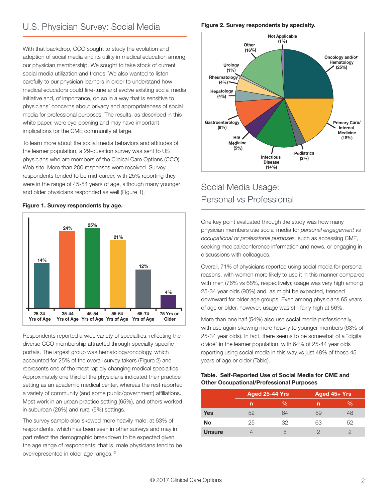With that backdrop, CCO sought to study the evolution and adoption of social media and its utility in medical education among our physician membership. We sought to take stock of current social media utilization and trends. We also wanted to listen carefully to our physician learners in order to understand how medical educators could fine-tune and evolve existing social media initiative and, of importance, do so in a way that is sensitive to physicians' concerns about privacy and appropriateness of social media for professional purposes. The results, as described in this white paper, were eye-opening and may have important implications for the CME community at large.

To learn more about the social media behaviors and attitudes of the learner population, a 29-question survey was sent to US physicians who are members of the Clinical Care Options (CCO) Web site. More than 200 responses were received. Survey respondents tended to be mid-career, with 25% reporting they were in the range of 45-54 years of age, although many younger and older physicians responded as well (Figure 1).



**Figure 1. Survey respondents by age.**

Respondents reported a wide variety of specialties, reflecting the diverse CCO membership attracted through specialty-specific portals. The largest group was hematology/oncology, which accounted for 25% of the overall survey takers (Figure 2) and represents one of the most rapidly changing medical specialties. Approximately one third of the physicians indicated their practice setting as an academic medical center, whereas the rest reported a variety of community (and some public/government) affiliations. Most work in an urban practice setting (65%), and others worked in suburban (26%) and rural (5%) settings.

The survey sample also skewed more heavily male, at 63% of respondents, which has been seen in other surveys and may in part reflect the demographic breakdown to be expected given the age range of respondents; that is, male physicians tend to be overrepresented in older age ranges.[5]

#### **Figure 2. Survey respondents by specialty.**



#### Social Media Usage: Personal vs Professional

One key point evaluated through the study was how many physician members use social media for *personal engagement vs occupational or professional purposes,* such as accessing CME, seeking medical/conference information and news, or engaging in discussions with colleagues.

Overall, 71% of physicians reported using social media for personal reasons, with women more likely to use it in this manner compared with men (76% vs 68%, respectively); usage was very high among 25-34 year olds (90%) and, as might be expected, trended downward for older age groups. Even among physicians 65 years of age or older, however, usage was still fairly high at 56%.

More than one half (54%) also use social media professionally, with use again skewing more heavily to younger members (63% of 25-34 year olds). In fact, there seems to be somewhat of a "digital divide" in the learner population, with 64% of 25-44 year olds reporting using social media in this way vs just 48% of those 45 years of age or older (Table).

#### **Table. Self-Reported Use of Social Media for CME and Other Occupational/Professional Purposes**

|               | <b>Aged 25-44 Yrs</b> |    | Aged $45+Yrs$ |    |
|---------------|-----------------------|----|---------------|----|
|               | n                     | %  | n             | %  |
| <b>Yes</b>    | 52                    | 64 | 59            | 48 |
| No            | 25                    | 32 | 63            | 52 |
| <b>Unsure</b> |                       | h, |               |    |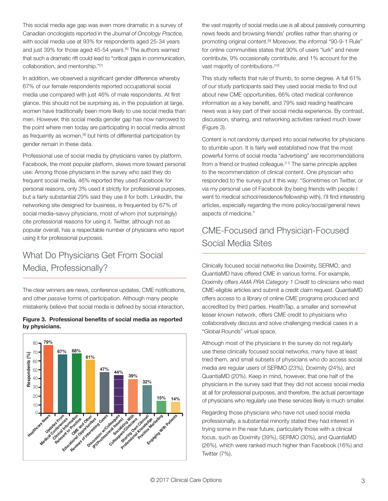This social media age gap was even more dramatic in a survey of Canadian oncologists reported in the *Journal of Oncology Practice,* with social media use at 93% for respondents aged 25-34 years and just 39% for those aged 45-54 years.<sup>[6]</sup> The authors warned that such a dramatic rift could lead to "critical gaps in communication, collaboration, and mentorship."[7]

In addition, we observed a significant gender difference whereby 67% of our female respondents reported occupational social media use compared with just 46% of male respondents. At first glance, this should not be surprising as, in the population at large, women have traditionally been more likely to use social media than men. However, this social media gender gap has now narrowed to the point where men today are participating in social media almost as frequently as women,<sup>[8]</sup> but hints of differential participation by gender remain in these data.

Professional use of social media by physicians varies by platform. Facebook, the most popular platform, skews more toward personal use: Among those physicians in the survey who said they do frequent social media, 46% reported they used Facebook for personal reasons, only 3% used it strictly for professional purposes, but a fairly substantial 29% said they use it for both. LinkedIn, the networking site designed for business, is frequented by 67% of social media–savvy physicians, most of whom (not surprisingly) cite professional reasons for using it. Twitter, although not as popular overall, has a respectable number of physicians who report using it for professional purposes.

### What Do Physicians Get From Social Media, Professionally?

The clear winners are news, conference updates, CME notifications, and other *passive* forms of participation. Although many people mistakenly believe that social media is defined by social interaction,





the vast majority of social media use is all about passively consuming news feeds and browsing friends' profiles rather than sharing or promoting original content.<sup>[9]</sup> Moreover, the informal "90-9-1 Rule" for online communities states that 90% of users "lurk" and never contribute, 9% occasionally contribute, and 1% account for the vast majority of contributions.<sup>[10]</sup>

This study reflects that rule of thumb, to some degree. A full 61% of our study participants said they used social media to find out about new CME opportunities, 66% cited medical conference information as a key benefit, and 79% said reading healthcare news was a key part of their social media experience. By contrast, discussion, sharing, and networking activities ranked much lower (Figure 3).

Content is not randomly dumped into social networks for physicians to stumble upon. It is fairly well established now that the most powerful forms of social media "advertising" are recommendations from a friend or trusted colleague.<sup>[11]</sup> The same principle applies to the recommendation of clinical content. One physician who responded to the survey put it this way: "Sometimes on Twitter, or via my personal use of Facebook (by being friends with people I went to medical school/residence/fellowship with), I'll find interesting articles, especially regarding the more policy/social/general news aspects of medicine."

#### CME-Focused and Physician-Focused Social Media Sites

Clinically focused social networks like Doximity, SERMO, and QuantiaMD have offered CME in various forms. For example, Doximity offers *AMA PRA Category 1 Credit* to clinicians who read CME-eligible articles and submit a credit claim request. QuantiaMD offers access to a library of online CME programs produced and accredited by third parties. HealthTap, a smaller and somewhat lesser known network, offers CME credit to physicians who collaboratively discuss and solve challenging medical cases in a "Global Rounds" virtual space.

Although most of the physicians in the survey do not regularly use these clinically focused social networks, many have at least tried them, and small subsets of physicians who do access social media are regular users of SERMO (23%), Doximity (24%), and QuantiaMD (20%). Keep in mind, however, that one half of the physicians in the survey said that they did not access social media at all for professional purposes, and therefore, the actual percentage of physicians who regularly use these services likely is much smaller.

Regarding those physicians who have not used social media professionally, a substantial minority stated they had interest in trying some in the near future, particularly those with a clinical focus, such as Doximity (39%), SERMO (30%), and QuantiaMD (26%), which were ranked much higher than Facebook (16%) and Twitter (7%).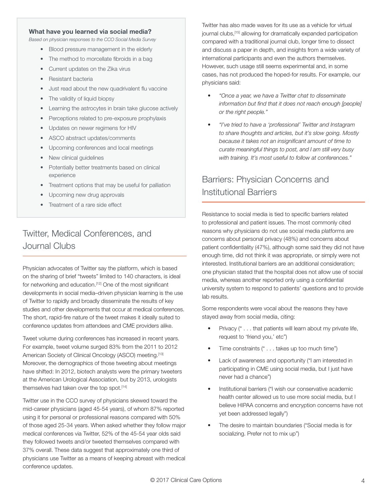#### **What have you learned via social media?**

*Based on physician responses to the CCO Social Media Survey*

- Blood pressure management in the elderly
- The method to morcellate fibroids in a bag
- Current updates on the Zika virus
- • Resistant bacteria
- Just read about the new quadrivalent flu vaccine
- The validity of liquid biopsy
- Learning the astrocytes in brain take glucose actively
- Perceptions related to pre-exposure prophylaxis
- • Updates on newer regimens for HIV
- ASCO abstract updates/comments
- • Upcoming conferences and local meetings
- New clinical guidelines
- Potentially better treatments based on clinical experience
- Treatment options that may be useful for palliation
- Upcoming new drug approvals
- Treatment of a rare side effect

### Twitter, Medical Conferences, and Journal Clubs

Physician advocates of Twitter say the platform, which is based on the sharing of brief "tweets" limited to 140 characters, is ideal for networking and education.<sup>[12]</sup> One of the most significant developments in social media–driven physician learning is the use of Twitter to rapidly and broadly disseminate the results of key studies and other developments that occur at medical conferences. The short, rapid-fire nature of the tweet makes it ideally suited to conference updates from attendees and CME providers alike.

Tweet volume during conferences has increased in recent years. For example, tweet volume surged 83% from the 2011 to 2012 American Society of Clinical Oncology (ASCO) meeting.[13] Moreover, the demographics of those tweeting about meetings have shifted: In 2012, biotech analysts were the primary tweeters at the American Urological Association, but by 2013, urologists themselves had taken over the top spot.<sup>[14]</sup>

Twitter use in the CCO survey of physicians skewed toward the mid-career physicians (aged 45-54 years), of whom 87% reported using it for personal or professional reasons compared with 50% of those aged 25-34 years. When asked whether they follow major medical conferences via Twitter, 52% of the 45-54 year olds said they followed tweets and/or tweeted themselves compared with 37% overall. These data suggest that approximately one third of physicians use Twitter as a means of keeping abreast with medical conference updates.

Twitter has also made waves for its use as a vehicle for virtual journal clubs,[15] allowing for dramatically expanded participation compared with a traditional journal club, longer time to dissect and discuss a paper in depth, and insights from a wide variety of international participants and even the authors themselves. However, such usage still seems experimental and, in some cases, has not produced the hoped-for results. For example, our physicians said:

- *• "Once a year, we have a Twitter chat to disseminate information but find that it does not reach enough [people] or the right people."*
- *• "I've tried to have a 'professional' Twitter and Instagram to share thoughts and articles, but it's slow going. Mostly because it takes not an insignificant amount of time to curate meaningful things to post, and I am still very busy with training. It's most useful to follow at conferences."*

### Barriers: Physician Concerns and Institutional Barriers

Resistance to social media is tied to specific barriers related to professional and patient issues. The most commonly cited reasons why physicians do not use social media platforms are concerns about personal privacy (48%) and concerns about patient confidentiality (47%), although some said they did not have enough time, did not think it was appropriate, or simply were not interested. Institutional barriers are an additional consideration; one physician stated that the hospital does not allow use of social media, whereas another reported only using a confidential university system to respond to patients' questions and to provide lab results.

Some respondents were vocal about the reasons they have stayed away from social media, citing:

- Privacy (" . . . that patients will learn about my private life, request to 'friend you,' etc")
- Time constraints  $(" \dots$  takes up too much time")
- Lack of awareness and opportunity ("I am interested in participating in CME using social media, but I just have never had a chance")
- Institutional barriers ("I wish our conservative academic health center allowed us to use more social media, but I believe HIPAA concerns and encryption concerns have not yet been addressed legally")
- The desire to maintain boundaries ("Social media is for socializing. Prefer not to mix up")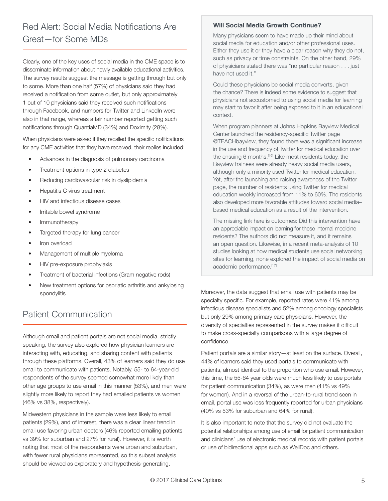### Red Alert: Social Media Notifications Are Great—for Some MDs

Clearly, one of the key uses of social media in the CME space is to disseminate information about newly available educational activities. The survey results suggest the message is getting through but only to some. More than one half (57%) of physicians said they had received a notification from some outlet, but only approximately 1 out of 10 physicians said they received such notifications through Facebook, and numbers for Twitter and LinkedIn were also in that range, whereas a fair number reported getting such notifications through QuantiaMD (34%) and Doximity (28%).

When physicians were asked if they recalled the specific notifications for any CME activities that they have received, their replies included:

- • Advances in the diagnosis of pulmonary carcinoma
- • Treatment options in type 2 diabetes
- Reducing cardiovascular risk in dyslipidemia
- Hepatitis C virus treatment
- HIV and infectious disease cases
- • Irritable bowel syndrome
- Immunotherapy
- Targeted therapy for lung cancer
- Iron overload
- Management of multiple myeloma
- HIV pre-exposure prophylaxis
- • Treatment of bacterial infections (Gram negative rods)
- New treatment options for psoriatic arthritis and ankylosing spondylitis

#### Patient Communication

Although email and patient portals are not social media, strictly speaking, the survey also explored how physician learners are interacting with, educating, and sharing content with patients through these platforms. Overall, 43% of learners said they do use email to communicate with patients. Notably, 55- to 64-year-old respondents of the survey seemed somewhat more likely than other age groups to use email in this manner (53%), and men were slightly more likely to report they had emailed patients vs women (46% vs 38%, respectively).

Midwestern physicians in the sample were less likely to email patients (29%), and of interest, there was a clear linear trend in email use favoring urban doctors (46% reported emailing patients vs 39% for suburban and 27% for rural). However, it is worth noting that most of the respondents were urban and suburban, with fewer rural physicians represented, so this subset analysis should be viewed as exploratory and hypothesis-generating.

#### **Will Social Media Growth Continue?**

Many physicians seem to have made up their mind about social media for education and/or other professional uses. Either they use it or they have a clear reason why they do not, such as privacy or time constraints. On the other hand, 29% of physicians stated there was "no particular reason . . . just have not used it."

Could these physicians be social media converts, given the chance? There is indeed some evidence to suggest that physicians not accustomed to using social media for learning may start to favor it after being exposed to it in an educational context.

When program planners at Johns Hopkins Bayview Medical Center launched the residency-specific Twitter page @TEACHbayview, they found there was a significant increase in the use and frequency of Twitter for medical education over the ensuing 6 months.<sup>[16]</sup> Like most residents today, the Bayview trainees were already heavy social media users, although only a minority used Twitter for medical education. Yet, after the launching and raising awareness of the Twitter page, the number of residents using Twitter for medical education weekly increased from 11% to 60%. The residents also developed more favorable attitudes toward social media– based medical education as a result of the intervention.

The missing link here is outcomes: Did this intervention have an appreciable impact on learning for these internal medicine residents? The authors did not measure it, and it remains an open question. Likewise, in a recent meta-analysis of 10 studies looking at how medical students use social networking sites for learning, none explored the impact of social media on academic performance.<sup>[17]</sup>

Moreover, the data suggest that email use with patients may be specialty specific. For example, reported rates were 41% among infectious disease specialists and 52% among oncology specialists but only 29% among primary care physicians. However, the diversity of specialties represented in the survey makes it difficult to make cross-specialty comparisons with a large degree of confidence.

Patient portals are a similar story—at least on the surface. Overall, 44% of learners said they used portals to communicate with patients, almost identical to the proportion who use email. However, this time, the 55-64 year olds were much less likely to use portals for patient communication (34%), as were men (41% vs 49% for women). And in a reversal of the urban-to-rural trend seen in email, portal use was less frequently reported for urban physicians (40% vs 53% for suburban and 64% for rural).

It is also important to note that the survey did not evaluate the potential relationships among use of email for patient communication and clinicians' use of electronic medical records with patient portals or use of bidirectional apps such as WellDoc and others.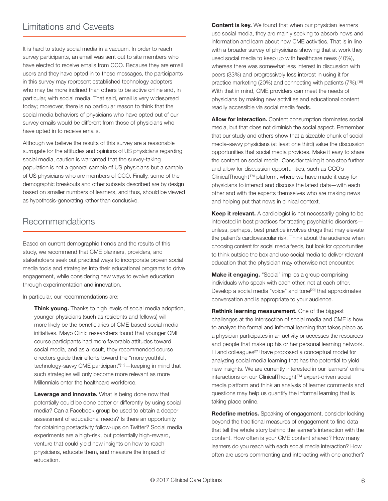#### Limitations and Caveats

It is hard to study social media in a vacuum. In order to reach survey participants, an email was sent out to site members who have elected to receive emails from CCO. Because they are email users and they have opted in to these messages, the participants in this survey may represent established technology adopters who may be more inclined than others to be active online and, in particular, with social media. That said, email is very widespread today; moreover, there is no particular reason to think that the social media behaviors of physicians who have opted out of our survey emails would be different from those of physicians who have opted in to receive emails.

Although we believe the results of this survey are a reasonable surrogate for the attitudes and opinions of US physicians regarding social media, caution is warranted that the survey-taking population is not a general sample of US physicians but a sample of US physicians who are members of CCO. Finally, some of the demographic breakouts and other subsets described are by design based on smaller numbers of learners, and thus, should be viewed as hypothesis-generating rather than conclusive.

#### Recommendations

Based on current demographic trends and the results of this study, we recommend that CME planners, providers, and stakeholders seek out practical ways to incorporate proven social media tools and strategies into their educational programs to drive engagement, while considering new ways to evolve education through experimentation and innovation.

In particular, our recommendations are:

**Think young.** Thanks to high levels of social media adoption, younger physicians (such as residents and fellows) will more likely be the beneficiaries of CME-based social media initiatives. Mayo Clinic researchers found that younger CME course participants had more favorable attitudes toward social media, and as a result, they recommended course directors guide their efforts toward the "more youthful, technology-savvy CME participant"<sup>[18]</sup> - keeping in mind that such strategies will only become more relevant as more Millennials enter the healthcare workforce.

**Leverage and innovate.** What is being done now that potentially could be done better or differently by using social media? Can a Facebook group be used to obtain a deeper assessment of educational needs? Is there an opportunity for obtaining postactivity follow-ups on Twitter? Social media experiments are a high-risk, but potentially high-reward, venture that could yield new insights on how to reach physicians, educate them, and measure the impact of education.

**Content is key.** We found that when our physician learners use social media, they are mainly seeking to absorb news and information and learn about new CME activities. That is in line with a broader survey of physicians showing that at work they used social media to keep up with healthcare news (40%), whereas there was somewhat less interest in discussion with peers (33%) and progressively less interest in using it for practice marketing (20%) and connecting with patients (7%).<sup>[19]</sup> With that in mind, CME providers can meet the needs of physicians by making new activities and educational content readily accessible via social media feeds.

**Allow for interaction.** Content consumption dominates social media, but that does not diminish the social aspect. Remember that our study and others show that a sizeable chunk of social media–savvy physicians (at least one third) value the discussion opportunities that social media provides. Make it easy to share the content on social media. Consider taking it one step further and allow for discussion opportunities, such as CCO's ClinicalThought™ platform, where we have made it easy for physicians to interact and discuss the latest data—with each other and with the experts themselves who are making news and helping put that news in clinical context.

**Keep it relevant.** A cardiologist is not necessarily going to be interested in best practices for treating psychiatric disorders unless, perhaps, best practice involves drugs that may elevate the patient's cardiovascular risk. Think about the audience when choosing content for social media feeds, but look for opportunities to think outside the box and use social media to deliver relevant education that the physician may otherwise not encounter.

**Make it engaging.** "Social" implies a group comprising individuals who speak with each other, not at each other. Develop a social media "voice" and tone<sup>[20]</sup> that approximates conversation and is appropriate to your audience.

**Rethink learning measurement.** One of the biggest challenges at the intersection of social media and CME is how to analyze the formal and informal learning that takes place as a physician participates in an activity or accesses the resources and people that make up his or her personal learning network. Li and colleagues<sup>[21]</sup> have proposed a conceptual model for analyzing social media learning that has the potential to yield new insights. We are currently interested in our learners' online interactions on our ClinicalThought™ expert-driven social media platform and think an analysis of learner comments and questions may help us quantify the informal learning that is taking place online.

**Redefine metrics.** Speaking of engagement, consider looking beyond the traditional measures of engagement to find data that tell the whole story behind the learner's interaction with the content. How often is your CME content shared? How many learners do you reach with each social media interaction? How often are users commenting and interacting with one another?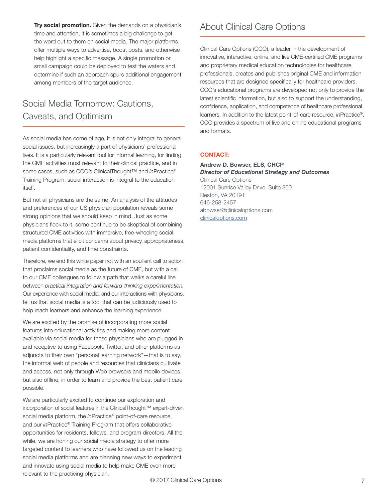**Try social promotion.** Given the demands on a physician's time and attention, it is sometimes a big challenge to get the word out to them on social media. The major platforms offer multiple ways to advertise, boost posts, and otherwise help highlight a specific message. A single promotion or small campaign could be deployed to test the waters and determine if such an approach spurs additional engagement among members of the target audience.

#### Social Media Tomorrow: Cautions, Caveats, and Optimism

As social media has come of age, it is not only integral to general social issues, but increasingly a part of physicians' professional lives. It is a particularly relevant tool for informal learning, for finding the CME activities most relevant to their clinical practice, and in some cases, such as CCO's ClinicalThought<sup>™</sup> and *in*Practice® Training Program, social interaction is integral to the education itself.

But not all physicians are the same. An analysis of the attitudes and preferences of our US physician population reveals some strong opinions that we should keep in mind. Just as some physicians flock to it, some continue to be skeptical of combining structured CME activities with immersive, free-wheeling social media platforms that elicit concerns about privacy, appropriateness, patient confidentiality, and time constraints.

Therefore, we end this white paper not with an ebullient call to action that proclaims social media as the future of CME, but with a call to our CME colleagues to follow a path that walks a careful line between *practical integration and forward-thinking experimentation.* Our experience with social media, and our interactions with physicians, tell us that social media is a tool that can be judiciously used to help reach learners and enhance the learning experience.

We are excited by the promise of incorporating more social features into educational activities and making more content available via social media for those physicians who are plugged in and receptive to using Facebook, Twitter, and other platforms as adjuncts to their own "personal learning network"—that is to say, the informal web of people and resources that clinicians cultivate and access, not only through Web browsers and mobile devices, but also offline, in order to learn and provide the best patient care possible.

We are particularly excited to continue our exploration and incorporation of social features in the ClinicalThought™ expert-driven social media platform, the *in*Practice® point-of-care resource, and our *in*Practice® Training Program that offers collaborative opportunities for residents, fellows, and program directors. All the while, we are honing our social media strategy to offer more targeted content to learners who have followed us on the leading social media platforms and are planning new ways to experiment and innovate using social media to help make CME even more relevant to the practicing physician.

#### About Clinical Care Options

Clinical Care Options (CCO), a leader in the development of innovative, interactive, online, and live CME-certified CME programs and proprietary medical education technologies for healthcare professionals, creates and publishes original CME and information resources that are designed specifically for healthcare providers. CCO's educational programs are developed not only to provide the latest scientific information, but also to support the understanding, confidence, application, and competence of healthcare professional learners. In addition to the latest point-of-care resource, *in*Practice®, CCO provides a spectrum of live and online educational programs and formats.

#### **CONTACT:**

#### **Andrew D. Bowser, ELS, CHCP** *Director of Educational Strategy and Outcomes* Clinical Care Options 12001 Sunrise Valley Drive, Suite 300 Reston, VA 20191 646-258-2457 abowser@clinicaloptions.com

clinicaloptions.com